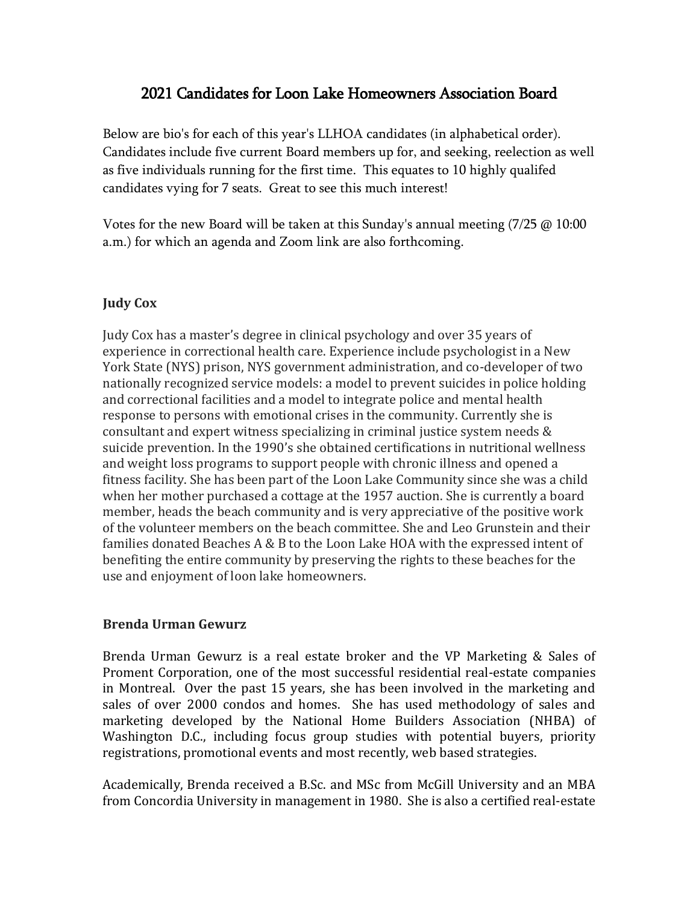# 2021 Candidates for Loon Lake Homeowners Association Board

Below are bio's for each of this year's LLHOA candidates (in alphabetical order). Candidates include five current Board members up for, and seeking, reelection as well as five individuals running for the first time. This equates to 10 highly qualifed candidates vying for 7 seats. Great to see this much interest!

Votes for the new Board will be taken at this Sunday's annual meeting (7/25 @ 10:00 [a.m.\) for which an agenda and Zoom link are also forthcoming.](https://dl-mail.ymail.com/ws/download/mailboxes/@.id==VjN-CT88i1oTRuOaZ3apMTIMGdHmDxlc5Vo-5Z96bV-xrjEPO4KRWuWaOtrBqZPrAM5Bw6_fxNajCUl3KwWSbMV1Kg/messages/@.id==ABXN4GVru3IfYPduzQjCMAzgu2Q/content/parts/@.id%20in%20%5B)

## **Judy Cox**

Judy Cox has a master's degree in clinical psychology and over 35 years of experience in correctional health care. Experience include psychologist in a New York State (NYS) prison, NYS government administration, and co-developer of two nationally recognized service models: a model to prevent suicides in police holding and correctional facilities and a model to integrate police and mental health response to persons with emotional crises in the community. Currently she is consultant and expert witness specializing in criminal justice system needs & suicide prevention. In the 1990's she obtained certifications in nutritional wellness and weight loss programs to support people with chronic illness and opened a fitness facility. She has been part of the Loon Lake Community since she was a child when her mother purchased a cottage at the 1957 auction. She is currently a board member, heads the beach community and is very appreciative of the positive work of the volunteer members on the beach committee. She and Leo Grunstein and their families donated Beaches A & B to the Loon Lake HOA with the expressed intent of benefiting the entire community by preserving the rights to these beaches for the use and enjoyment of loon lake homeowners.

#### **Brenda Urman Gewurz**

Brenda Urman Gewurz is a real estate broker and the VP Marketing & Sales of Proment Corporation, one of the most successful residential real-estate companies in Montreal. Over the past 15 years, she has been involved in the marketing and sales of over 2000 condos and homes. She has used methodology of sales and marketing developed by the National Home Builders Association (NHBA) of Washington D.C., including focus group studies with potential buyers, priority registrations, promotional events and most recently, web based strategies.

Academically, Brenda received a B.Sc. and MSc from McGill University and an MBA from Concordia University in management in 1980. She is also a certified real-estate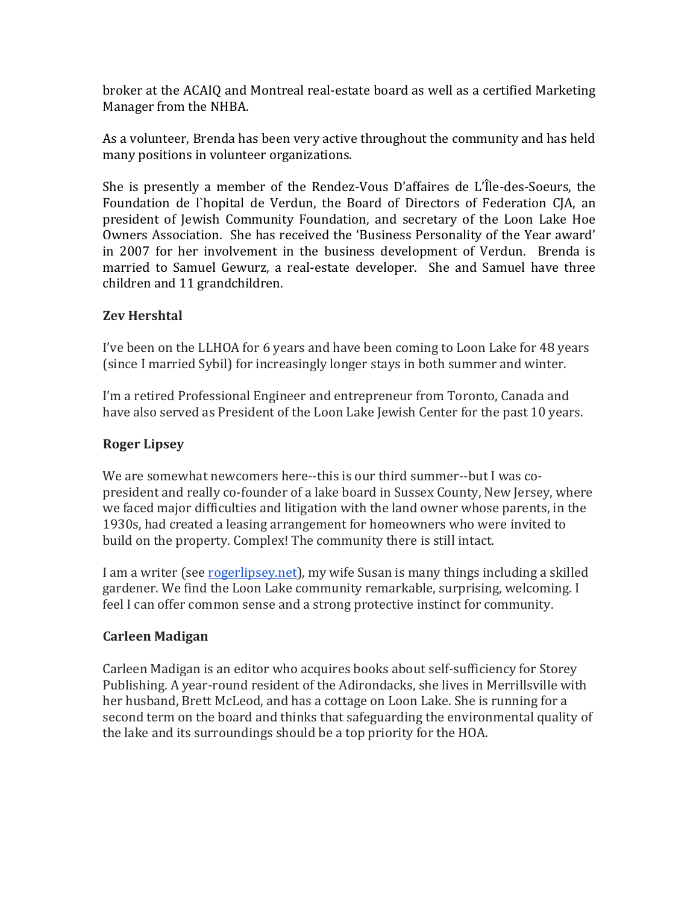broker at the ACAIQ and Montreal real-estate board as well as a certified Marketing Manager from the NHBA.

As a volunteer, Brenda has been very active throughout the community and has held many positions in volunteer organizations.

She is presently a member of the Rendez-Vous D'affaires de L'Île-des-Soeurs, the Foundation de l`hopital de Verdun, the Board of Directors of Federation CJA, an president of Jewish Community Foundation, and secretary of the Loon Lake Hoe Owners Association. She has received the 'Business Personality of the Year award' in 2007 for her involvement in the business development of Verdun. Brenda is married to Samuel Gewurz, a real-estate developer. She and Samuel have three children and 11 grandchildren.

## **Zev Hershtal**

I've been on the LLHOA for 6 years and have been coming to Loon Lake for 48 years (since I married Sybil) for increasingly longer stays in both summer and winter.

I'm a retired Professional Engineer and entrepreneur from Toronto, Canada and have also served as President of the Loon Lake Jewish Center for the past 10 years.

## **Roger Lipsey**

We are somewhat newcomers here--this is our third summer--but I was copresident and really co-founder of a lake board in Sussex County, New Jersey, where we faced major difficulties and litigation with the land owner whose parents, in the 1930s, had created a leasing arrangement for homeowners who were invited to build on the property. Complex! The community there is still intact.

I am a writer (see [rogerlipsey.net\)](http://rogerlipsey.net/), my wife Susan is many things including a skilled gardener. We find the Loon Lake community remarkable, surprising, welcoming. I feel I can offer common sense and a strong protective instinct for community.

## **Carleen Madigan**

Carleen Madigan is an editor who acquires books about self-sufficiency for Storey Publishing. A year-round resident of the Adirondacks, she lives in Merrillsville with her husband, Brett McLeod, and has a cottage on Loon Lake. She is running for a second term on the board and thinks that safeguarding the environmental quality of the lake and its surroundings should be a top priority for the HOA.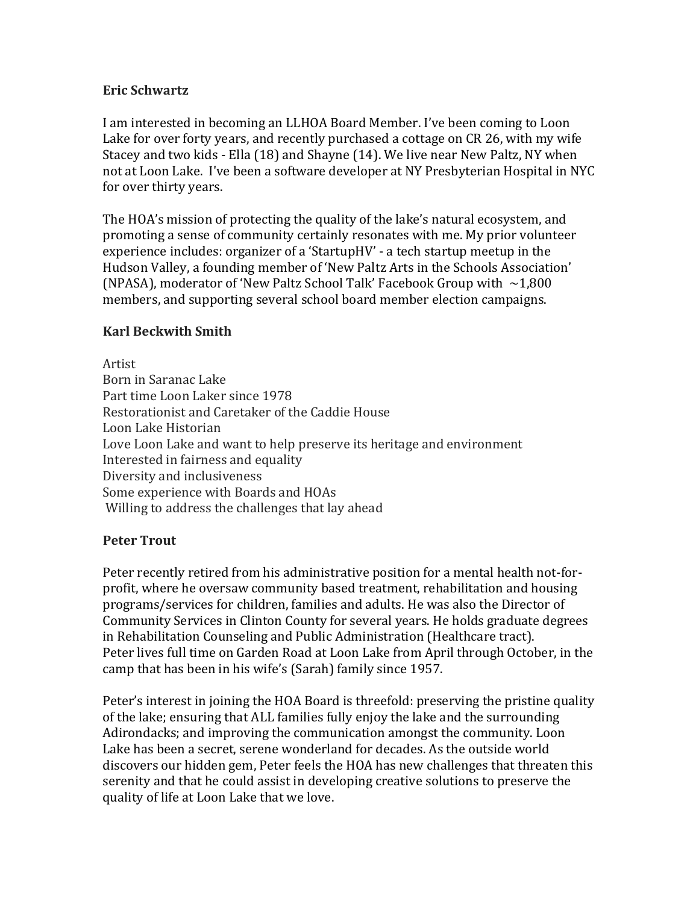#### **Eric Schwartz**

I am interested in becoming an LLHOA Board Member. I've been coming to Loon Lake for over forty years, and recently purchased a cottage on CR 26, with my wife Stacey and two kids - Ella (18) and Shayne (14). We live near New Paltz, NY when not at Loon Lake. I've been a software developer at NY Presbyterian Hospital in NYC for over thirty years.

The HOA's mission of protecting the quality of the lake's natural ecosystem, and promoting a sense of community certainly resonates with me. My prior volunteer experience includes: organizer of a 'StartupHV' - a tech startup meetup in the Hudson Valley, a founding member of 'New Paltz Arts in the Schools Association' (NPASA), moderator of 'New Paltz School Talk' Facebook Group with  $\sim$ 1,800 members, and supporting several school board member election campaigns.

#### **Karl Beckwith Smith**

Artist Born in Saranac Lake Part time Loon Laker since 1978 Restorationist and Caretaker of the Caddie House Loon Lake Historian Love Loon Lake and want to help preserve its heritage and environment Interested in fairness and equality Diversity and inclusiveness Some experience with Boards and HOAs Willing to address the challenges that lay ahead

#### **Peter Trout**

Peter recently retired from his administrative position for a mental health not-forprofit, where he oversaw community based treatment, rehabilitation and housing programs/services for children, families and adults. He was also the Director of Community Services in Clinton County for several years. He holds graduate degrees in Rehabilitation Counseling and Public Administration (Healthcare tract). Peter lives full time on Garden Road at Loon Lake from April through October, in the camp that has been in his wife's (Sarah) family since 1957.

Peter's interest in joining the HOA Board is threefold: preserving the pristine quality of the lake; ensuring that ALL families fully enjoy the lake and the surrounding Adirondacks; and improving the communication amongst the community. Loon Lake has been a secret, serene wonderland for decades. As the outside world discovers our hidden gem, Peter feels the HOA has new challenges that threaten this serenity and that he could assist in developing creative solutions to preserve the quality of life at Loon Lake that we love.